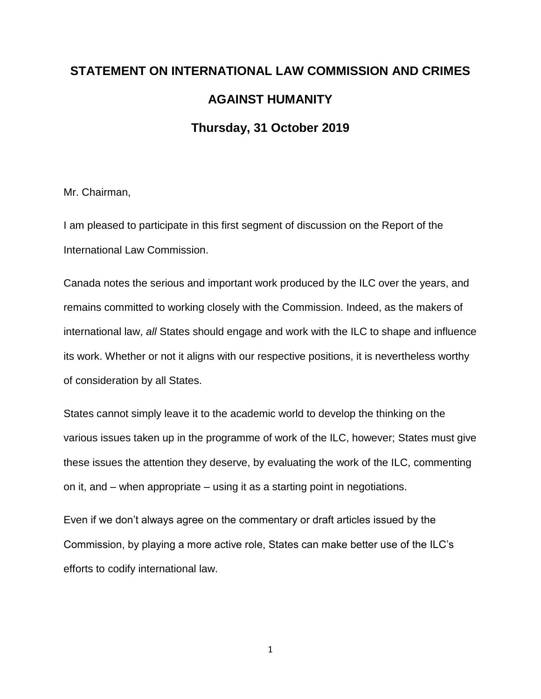## **STATEMENT ON INTERNATIONAL LAW COMMISSION AND CRIMES AGAINST HUMANITY Thursday, 31 October 2019**

Mr. Chairman,

I am pleased to participate in this first segment of discussion on the Report of the International Law Commission.

Canada notes the serious and important work produced by the ILC over the years, and remains committed to working closely with the Commission. Indeed, as the makers of international law, *all* States should engage and work with the ILC to shape and influence its work. Whether or not it aligns with our respective positions, it is nevertheless worthy of consideration by all States.

States cannot simply leave it to the academic world to develop the thinking on the various issues taken up in the programme of work of the ILC, however; States must give these issues the attention they deserve, by evaluating the work of the ILC, commenting on it, and – when appropriate – using it as a starting point in negotiations.

Even if we don't always agree on the commentary or draft articles issued by the Commission, by playing a more active role, States can make better use of the ILC's efforts to codify international law.

1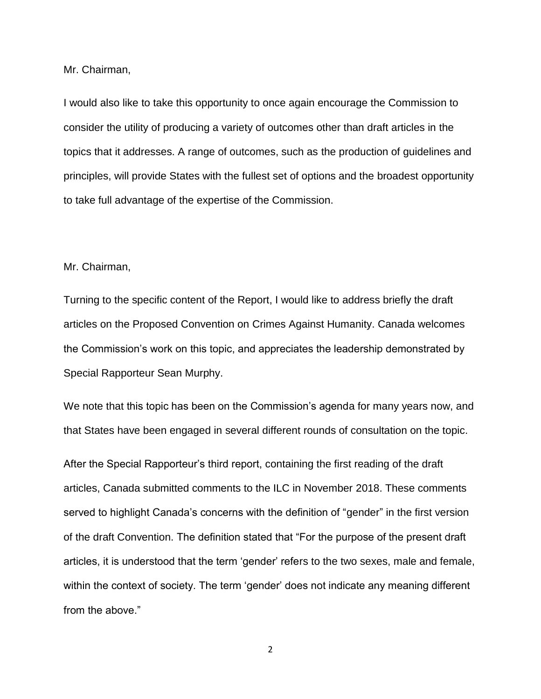Mr. Chairman,

I would also like to take this opportunity to once again encourage the Commission to consider the utility of producing a variety of outcomes other than draft articles in the topics that it addresses. A range of outcomes, such as the production of guidelines and principles, will provide States with the fullest set of options and the broadest opportunity to take full advantage of the expertise of the Commission.

## Mr. Chairman,

Turning to the specific content of the Report, I would like to address briefly the draft articles on the Proposed Convention on Crimes Against Humanity. Canada welcomes the Commission's work on this topic, and appreciates the leadership demonstrated by Special Rapporteur Sean Murphy.

We note that this topic has been on the Commission's agenda for many years now, and that States have been engaged in several different rounds of consultation on the topic.

After the Special Rapporteur's third report, containing the first reading of the draft articles, Canada submitted comments to the ILC in November 2018. These comments served to highlight Canada's concerns with the definition of "gender" in the first version of the draft Convention. The definition stated that "For the purpose of the present draft articles, it is understood that the term 'gender' refers to the two sexes, male and female, within the context of society. The term 'gender' does not indicate any meaning different from the above."

2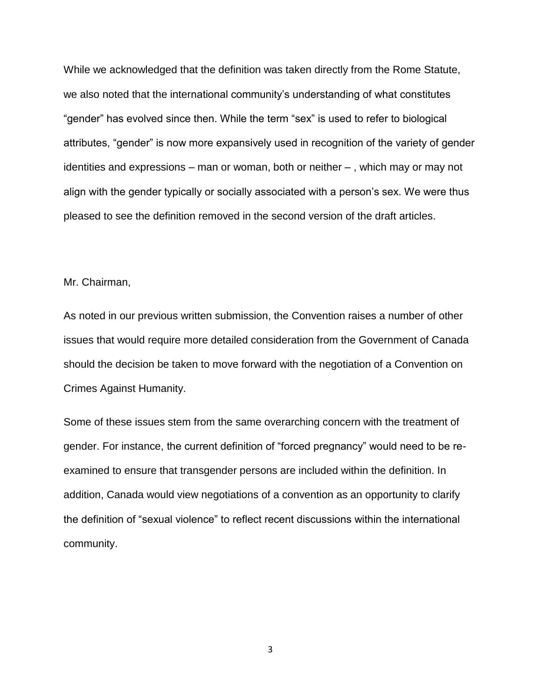While we acknowledged that the definition was taken directly from the Rome Statute, we also noted that the international community's understanding of what constitutes "gender" has evolved since then. While the term "sex" is used to refer to biological attributes, "gender" is now more expansively used in recognition of the variety of gender identities and expressions – man or woman, both or neither – , which may or may not align with the gender typically or socially associated with a person's sex. We were thus pleased to see the definition removed in the second version of the draft articles.

## Mr. Chairman,

As noted in our previous written submission, the Convention raises a number of other issues that would require more detailed consideration from the Government of Canada should the decision be taken to move forward with the negotiation of a Convention on Crimes Against Humanity.

Some of these issues stem from the same overarching concern with the treatment of gender. For instance, the current definition of "forced pregnancy" would need to be reexamined to ensure that transgender persons are included within the definition. In addition, Canada would view negotiations of a convention as an opportunity to clarify the definition of "sexual violence" to reflect recent discussions within the international community.

3